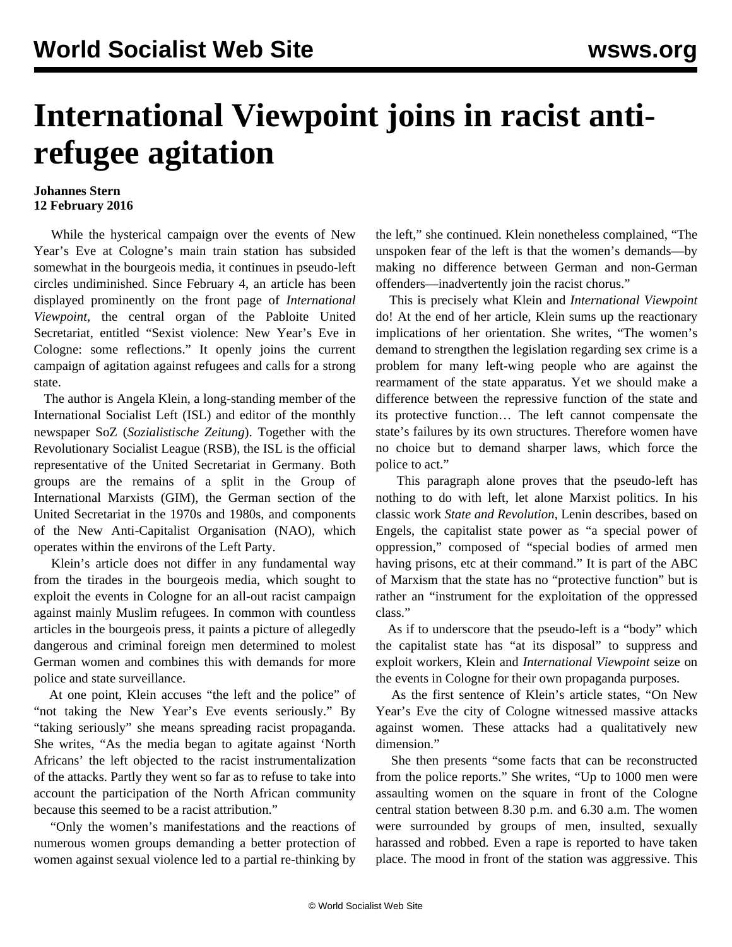## **International Viewpoint joins in racist antirefugee agitation**

## **Johannes Stern 12 February 2016**

 While the hysterical campaign over the events of New Year's Eve at Cologne's main train station has subsided somewhat in the bourgeois media, it continues in pseudo-left circles undiminished. Since February 4, an article has been displayed prominently on the front page of *International Viewpoint*, the central organ of the Pabloite United Secretariat, entitled "Sexist violence: New Year's Eve in Cologne: some reflections." It openly joins the current campaign of agitation against refugees and calls for a strong state.

 The author is Angela Klein, a long-standing member of the International Socialist Left (ISL) and editor of the monthly newspaper SoZ (*Sozialistische Zeitung*). Together with the Revolutionary Socialist League (RSB), the ISL is the official representative of the United Secretariat in Germany. Both groups are the remains of a split in the Group of International Marxists (GIM), the German section of the United Secretariat in the 1970s and 1980s, and components of the New Anti-Capitalist Organisation (NAO), which operates within the environs of the Left Party.

 Klein's article does not differ in any fundamental way from the tirades in the bourgeois media, which sought to exploit the events in Cologne for an all-out racist campaign against mainly Muslim refugees. In common with countless articles in the bourgeois press, it paints a picture of allegedly dangerous and criminal foreign men determined to molest German women and combines this with demands for more police and state surveillance.

 At one point, Klein accuses "the left and the police" of "not taking the New Year's Eve events seriously." By "taking seriously" she means spreading racist propaganda. She writes, "As the media began to agitate against 'North Africans' the left objected to the racist instrumentalization of the attacks. Partly they went so far as to refuse to take into account the participation of the North African community because this seemed to be a racist attribution."

 "Only the women's manifestations and the reactions of numerous women groups demanding a better protection of women against sexual violence led to a partial re-thinking by the left," she continued. Klein nonetheless complained, "The unspoken fear of the left is that the women's demands—by making no difference between German and non-German offenders—inadvertently join the racist chorus."

 This is precisely what Klein and *International Viewpoint* do! At the end of her article, Klein sums up the reactionary implications of her orientation. She writes, "The women's demand to strengthen the legislation regarding sex crime is a problem for many left-wing people who are against the rearmament of the state apparatus. Yet we should make a difference between the repressive function of the state and its protective function… The left cannot compensate the state's failures by its own structures. Therefore women have no choice but to demand sharper laws, which force the police to act."

 This paragraph alone proves that the pseudo-left has nothing to do with left, let alone Marxist politics. In his classic work *State and Revolution*, Lenin describes, based on Engels, the capitalist state power as "a special power of oppression," composed of "special bodies of armed men having prisons, etc at their command." It is part of the ABC of Marxism that the state has no "protective function" but is rather an "instrument for the exploitation of the oppressed class."

 As if to underscore that the pseudo-left is a "body" which the capitalist state has "at its disposal" to suppress and exploit workers, Klein and *International Viewpoint* seize on the events in Cologne for their own propaganda purposes.

 As the first sentence of Klein's article states, "On New Year's Eve the city of Cologne witnessed massive attacks against women. These attacks had a qualitatively new dimension."

 She then presents "some facts that can be reconstructed from the police reports." She writes, "Up to 1000 men were assaulting women on the square in front of the Cologne central station between 8.30 p.m. and 6.30 a.m. The women were surrounded by groups of men, insulted, sexually harassed and robbed. Even a rape is reported to have taken place. The mood in front of the station was aggressive. This